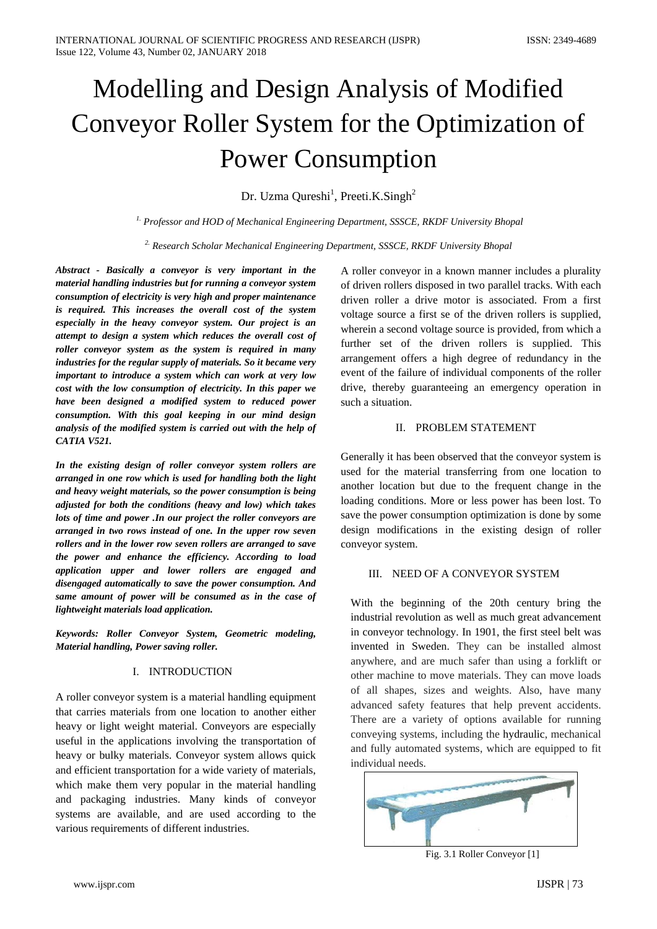# Modelling and Design Analysis of Modified Conveyor Roller System for the Optimization of Power Consumption

Dr. Uzma Qureshi<sup>1</sup>, Preeti.K.Singh<sup>2</sup>

*1. Professor and HOD of Mechanical Engineering Department, SSSCE, RKDF University Bhopal*

*2. Research Scholar Mechanical Engineering Department, SSSCE, RKDF University Bhopal*

*Abstract - Basically a conveyor is very important in the material handling industries but for running a conveyor system consumption of electricity is very high and proper maintenance is required. This increases the overall cost of the system especially in the heavy conveyor system. Our project is an attempt to design a system which reduces the overall cost of roller conveyor system as the system is required in many industries for the regular supply of materials. So it became very important to introduce a system which can work at very low cost with the low consumption of electricity. In this paper we have been designed a modified system to reduced power consumption. With this goal keeping in our mind design analysis of the modified system is carried out with the help of CATIA V521.* 

*In the existing design of roller conveyor system rollers are arranged in one row which is used for handling both the light and heavy weight materials, so the power consumption is being adjusted for both the conditions (heavy and low) which takes lots of time and power .In our project the roller conveyors are arranged in two rows instead of one. In the upper row seven rollers and in the lower row seven rollers are arranged to save the power and enhance the efficiency. According to load application upper and lower rollers are engaged and disengaged automatically to save the power consumption. And same amount of power will be consumed as in the case of lightweight materials load application.*

*Keywords: Roller Conveyor System, Geometric modeling, Material handling, Power saving roller.*

# I. INTRODUCTION

A roller conveyor system is a material handling equipment that carries materials from one location to another either heavy or light weight material. Conveyors are especially useful in the applications involving the transportation of heavy or bulky materials. Conveyor system allows quick and efficient transportation for a wide variety of materials, which make them very popular in the material handling and packaging industries. Many kinds of conveyor systems are available, and are used according to the various requirements of different industries.

A roller conveyor in a known manner includes a plurality of driven rollers disposed in two parallel tracks. With each driven roller a drive motor is associated. From a first voltage source a first se of the driven rollers is supplied, wherein a second voltage source is provided, from which a further set of the driven rollers is supplied. This arrangement offers a high degree of redundancy in the event of the failure of individual components of the roller drive, thereby guaranteeing an emergency operation in such a situation.

## II. PROBLEM STATEMENT

Generally it has been observed that the conveyor system is used for the material transferring from one location to another location but due to the frequent change in the loading conditions. More or less power has been lost. To save the power consumption optimization is done by some design modifications in the existing design of roller conveyor system.

# III. NEED OF A CONVEYOR SYSTEM

With the beginning of the 20th century bring the industrial revolution as well as much great advancement in conveyor technology. In 1901, the first steel belt was invented in Sweden. They can be installed almost anywhere, and are much safer than using a forklift or other machine to move materials. They can move loads of all shapes, sizes and weights. Also, have many advanced safety features that help prevent accidents. There are a variety of options available for running conveying systems, including the hydraulic, mechanical and fully automated systems, which are equipped to fit individual needs.



Fig. 3.1 Roller Conveyor [1]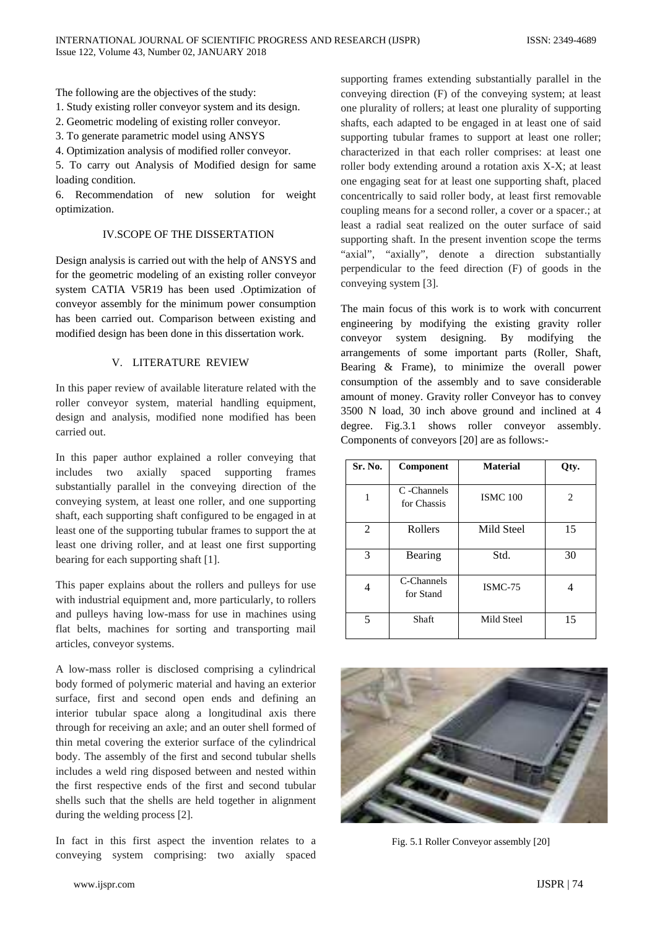The following are the objectives of the study:

1. Study existing roller conveyor system and its design.

2. Geometric modeling of existing roller conveyor.

3. To generate parametric model using ANSYS

4. Optimization analysis of modified roller conveyor.

5. To carry out Analysis of Modified design for same loading condition.

6. Recommendation of new solution for weight optimization.

## IV.SCOPE OF THE DISSERTATION

Design analysis is carried out with the help of ANSYS and for the geometric modeling of an existing roller conveyor system CATIA V5R19 has been used .Optimization of conveyor assembly for the minimum power consumption has been carried out. Comparison between existing and modified design has been done in this dissertation work.

# V. LITERATURE REVIEW

In this paper review of available literature related with the roller conveyor system, material handling equipment, design and analysis, modified none modified has been carried out.

In this paper author explained a roller conveying that includes two axially spaced supporting frames substantially parallel in the conveying direction of the conveying system, at least one roller, and one supporting shaft, each supporting shaft configured to be engaged in at least one of the supporting tubular frames to support the at least one driving roller, and at least one first supporting bearing for each supporting shaft [1].

This paper explains about the rollers and pulleys for use with industrial equipment and, more particularly, to rollers and pulleys having low-mass for use in machines using flat belts, machines for sorting and transporting mail articles, conveyor systems.

A low-mass roller is disclosed comprising a cylindrical body formed of polymeric material and having an exterior surface, first and second open ends and defining an interior tubular space along a longitudinal axis there through for receiving an axle; and an outer shell formed of thin metal covering the exterior surface of the cylindrical body. The assembly of the first and second tubular shells includes a weld ring disposed between and nested within the first respective ends of the first and second tubular shells such that the shells are held together in alignment during the welding process [2].

In fact in this first aspect the invention relates to a conveying system comprising: two axially spaced

supporting frames extending substantially parallel in the conveying direction (F) of the conveying system; at least one plurality of rollers; at least one plurality of supporting shafts, each adapted to be engaged in at least one of said supporting tubular frames to support at least one roller; characterized in that each roller comprises: at least one roller body extending around a rotation axis X-X; at least one engaging seat for at least one supporting shaft, placed concentrically to said roller body, at least first removable coupling means for a second roller, a cover or a spacer.; at least a radial seat realized on the outer surface of said supporting shaft. In the present invention scope the terms "axial", "axially", denote a direction substantially perpendicular to the feed direction (F) of goods in the conveying system [3].

The main focus of this work is to work with concurrent engineering by modifying the existing gravity roller conveyor system designing. By modifying the arrangements of some important parts (Roller, Shaft, Bearing & Frame), to minimize the overall power consumption of the assembly and to save considerable amount of money. Gravity roller Conveyor has to convey 3500 N load, 30 inch above ground and inclined at 4 degree. Fig.3.1 shows roller conveyor assembly. Components of conveyors [20] are as follows:-

| Sr. No.        | Component                  | <b>Material</b> | Qty. |
|----------------|----------------------------|-----------------|------|
| 1              | C -Channels<br>for Chassis | <b>ISMC 100</b> | 2    |
| $\overline{2}$ | Rollers                    | Mild Steel      | 15   |
| 3              | Bearing                    | Std.            | 30   |
| 4              | C-Channels<br>for Stand    | ISMC-75         |      |
| 5              | Shaft                      | Mild Steel      | 15   |



Fig. 5.1 Roller Conveyor assembly [20]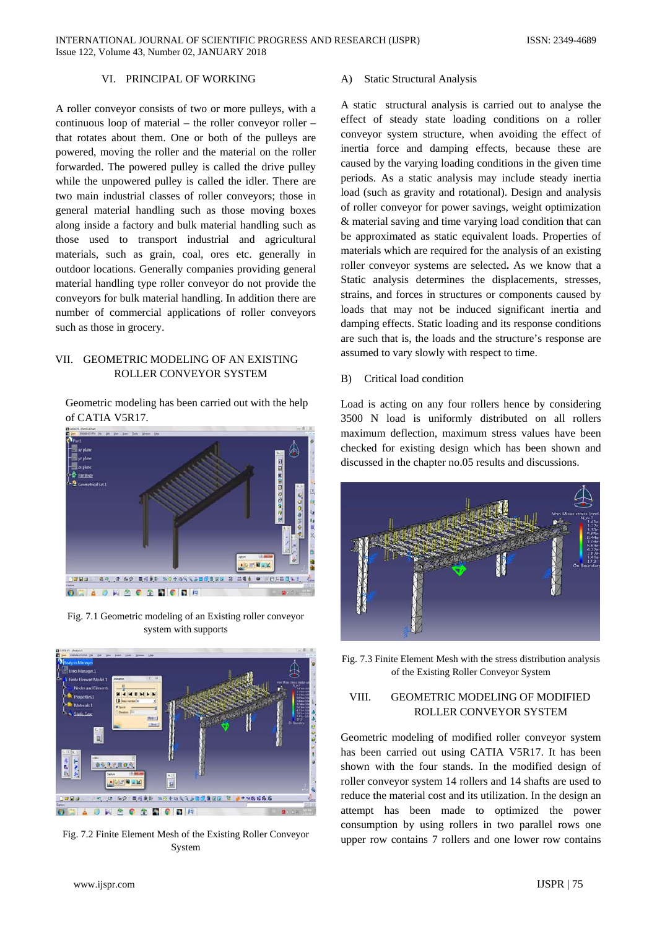## VI. PRINCIPAL OF WORKING

A roller conveyor consists of two or more pulleys, with a continuous loop of material – the roller conveyor roller – that rotates about them. One or both of the pulleys are powered, moving the roller and the material on the roller forwarded. The powered pulley is called the drive pulley while the unpowered pulley is called the idler. There are two main industrial classes of roller conveyors; those in general material handling such as those moving boxes along inside a factory and bulk material handling such as those used to transport industrial and agricultural materials, such as grain, coal, ores etc. generally in outdoor locations. Generally companies providing general material handling type roller conveyor do not provide the conveyors for bulk material handling. In addition there are number of commercial applications of roller conveyors such as those in grocery.

# VII. GEOMETRIC MODELING OF AN EXISTING ROLLER CONVEYOR SYSTEM

Geometric modeling has been carried out with the help of CATIA V5R17.



Fig. 7.1 Geometric modeling of an Existing roller conveyor system with supports



Fig. 7.2 Finite Element Mesh of the Existing Roller Conveyor System

#### A) Static Structural Analysis

A static structural analysis is carried out to analyse the effect of steady state loading conditions on a roller conveyor system structure, when avoiding the effect of inertia force and damping effects, because these are caused by the varying loading conditions in the given time periods. As a static analysis may include steady inertia load (such as gravity and rotational). Design and analysis of roller conveyor for power savings, weight optimization & material saving and time varying load condition that can be approximated as static equivalent loads. Properties of materials which are required for the analysis of an existing roller conveyor systems are selected**.** As we know that a Static analysis determines the displacements, stresses, strains, and forces in structures or components caused by loads that may not be induced significant inertia and damping effects. Static loading and its response conditions are such that is, the loads and the structure's response are assumed to vary slowly with respect to time.

### B) Critical load condition

Load is acting on any four rollers hence by considering 3500 N load is uniformly distributed on all rollers maximum deflection, maximum stress values have been checked for existing design which has been shown and discussed in the chapter no.05 results and discussions.



Fig. 7.3 Finite Element Mesh with the stress distribution analysis of the Existing Roller Conveyor System

# VIII. GEOMETRIC MODELING OF MODIFIED ROLLER CONVEYOR SYSTEM

Geometric modeling of modified roller conveyor system has been carried out using CATIA V5R17. It has been shown with the four stands. In the modified design of roller conveyor system 14 rollers and 14 shafts are used to reduce the material cost and its utilization. In the design an attempt has been made to optimized the power consumption by using rollers in two parallel rows one upper row contains 7 rollers and one lower row contains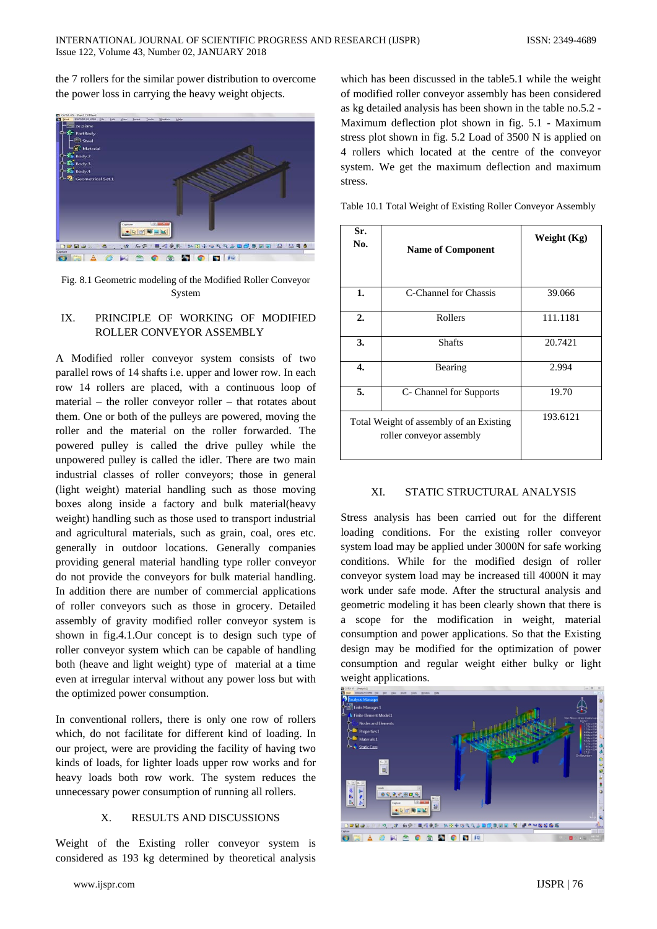the 7 rollers for the similar power distribution to overcome the power loss in carrying the heavy weight objects.



Fig. 8.1 Geometric modeling of the Modified Roller Conveyor System

# IX. PRINCIPLE OF WORKING OF MODIFIED ROLLER CONVEYOR ASSEMBLY

A Modified roller conveyor system consists of two parallel rows of 14 shafts i.e. upper and lower row. In each row 14 rollers are placed, with a continuous loop of material – the roller conveyor roller – that rotates about them. One or both of the pulleys are powered, moving the roller and the material on the roller forwarded. The powered pulley is called the drive pulley while the unpowered pulley is called the idler. There are two main industrial classes of roller conveyors; those in general (light weight) material handling such as those moving boxes along inside a factory and bulk material(heavy weight) handling such as those used to transport industrial and agricultural materials, such as grain, coal, ores etc. generally in outdoor locations. Generally companies providing general material handling type roller conveyor do not provide the conveyors for bulk material handling. In addition there are number of commercial applications of roller conveyors such as those in grocery. Detailed assembly of gravity modified roller conveyor system is shown in fig.4.1.Our concept is to design such type of roller conveyor system which can be capable of handling both (heave and light weight) type of material at a time even at irregular interval without any power loss but with the optimized power consumption.

In conventional rollers, there is only one row of rollers which, do not facilitate for different kind of loading. In our project, were are providing the facility of having two kinds of loads, for lighter loads upper row works and for heavy loads both row work. The system reduces the unnecessary power consumption of running all rollers.

## X. RESULTS AND DISCUSSIONS

Weight of the Existing roller conveyor system is considered as 193 kg determined by theoretical analysis

www.ijspr.com IJSPR | 76

which has been discussed in the table5.1 while the weight of modified roller conveyor assembly has been considered as kg detailed analysis has been shown in the table no.5.2 - Maximum deflection plot shown in fig. 5.1 - Maximum stress plot shown in fig. 5.2 Load of 3500 N is applied on 4 rollers which located at the centre of the conveyor system. We get the maximum deflection and maximum stress.

Table 10.1 Total Weight of Existing Roller Conveyor Assembly

| Sr.<br>No.                                                          | <b>Name of Component</b> | Weight (Kg) |
|---------------------------------------------------------------------|--------------------------|-------------|
| 1.                                                                  | C-Channel for Chassis    | 39.066      |
| 2.                                                                  | Rollers                  | 111.1181    |
| 3.                                                                  | <b>Shafts</b>            | 20.7421     |
| $\overline{4}$ .                                                    | Bearing                  | 2.994       |
| 5.                                                                  | C- Channel for Supports  | 19.70       |
| Total Weight of assembly of an Existing<br>roller conveyor assembly |                          | 193.6121    |

## XI. STATIC STRUCTURAL ANALYSIS

Stress analysis has been carried out for the different loading conditions. For the existing roller conveyor system load may be applied under 3000N for safe working conditions. While for the modified design of roller conveyor system load may be increased till 4000N it may work under safe mode. After the structural analysis and geometric modeling it has been clearly shown that there is a scope for the modification in weight, material consumption and power applications. So that the Existing design may be modified for the optimization of power consumption and regular weight either bulky or light weight applications.

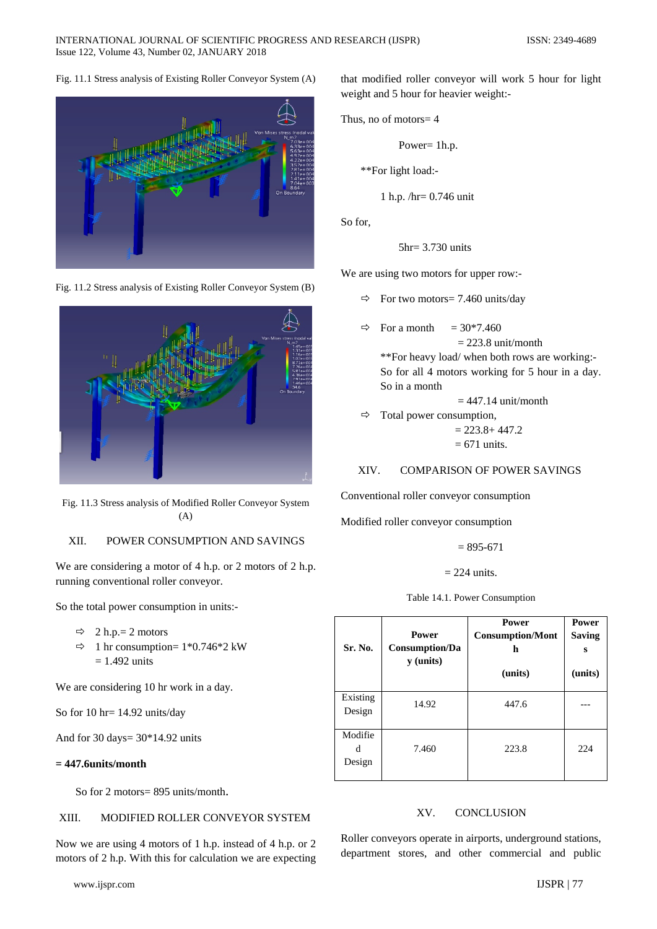# Fig. 11.1 Stress analysis of Existing Roller Conveyor System (A)



Fig. 11.2 Stress analysis of Existing Roller Conveyor System (B)



Fig. 11.3 Stress analysis of Modified Roller Conveyor System (A)

# XII. POWER CONSUMPTION AND SAVINGS

We are considering a motor of 4 h.p. or 2 motors of 2 h.p. running conventional roller conveyor.

So the total power consumption in units:-

- $\Rightarrow$  2 h.p.= 2 motors
- $\Rightarrow$  1 hr consumption= 1\*0.746\*2 kW  $= 1.492$  units

We are considering 10 hr work in a day.

So for 10 hr= 14.92 units/day

And for 30 days= 30\*14.92 units

### **= 447.6units/month**

So for 2 motors= 895 units/month.

## XIII. MODIFIED ROLLER CONVEYOR SYSTEM

Now we are using 4 motors of 1 h.p. instead of 4 h.p. or 2 motors of 2 h.p. With this for calculation we are expecting

that modified roller conveyor will work 5 hour for light weight and 5 hour for heavier weight:-

Thus, no of motors
$$
=
$$
 4

$$
Power = 1h.p.
$$

\*\*For light load:-

1 h.p. /hr= 0.746 unit

So for,

$$
5hr = 3.730
$$
 units

We are using two motors for upper row:-

- $\Rightarrow$  For two motors= 7.460 units/day
- For a month  $= 30*7.460$  $= 223.8$  unit/month \*\*For heavy load/ when both rows are working:- So for all 4 motors working for 5 hour in a day. So in a month

 $= 447.14$  unit/month

 $\Rightarrow$  Total power consumption,  $= 223.8 + 447.2$  $= 671$  units.

XIV. COMPARISON OF POWER SAVINGS

Conventional roller conveyor consumption

Modified roller conveyor consumption

 $= 895 - 671$ 

 $= 224$  units.

Table 14.1. Power Consumption

| Sr. No.                | Power<br>Consumption/Da<br>y (units) | <b>Power</b><br><b>Consumption/Mont</b><br>h<br>(units) | <b>Power</b><br><b>Saving</b><br>s<br>(units) |
|------------------------|--------------------------------------|---------------------------------------------------------|-----------------------------------------------|
| Existing<br>Design     | 14.92                                | 447.6                                                   |                                               |
| Modifie<br>d<br>Design | 7.460                                | 223.8                                                   | 224                                           |

### XV. CONCLUSION

Roller conveyors operate in airports, underground stations, department stores, and other commercial and public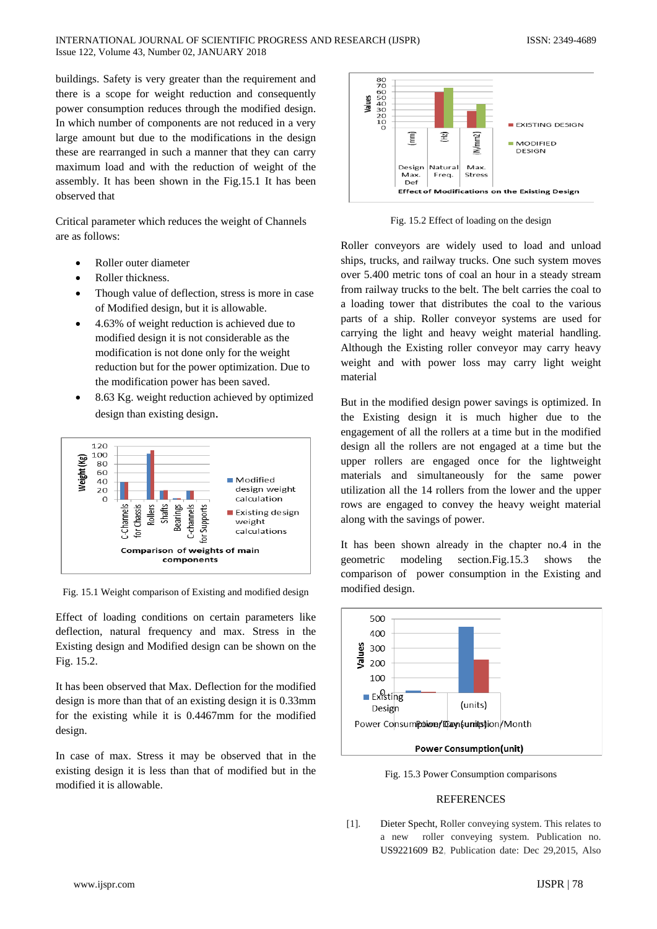buildings. Safety is very greater than the requirement and there is a scope for weight reduction and consequently power consumption reduces through the modified design. In which number of components are not reduced in a very large amount but due to the modifications in the design these are rearranged in such a manner that they can carry maximum load and with the reduction of weight of the assembly. It has been shown in the Fig.15.1 It has been observed that

Critical parameter which reduces the weight of Channels are as follows:

- Roller outer diameter
- Roller thickness.
- Though value of deflection, stress is more in case of Modified design, but it is allowable.
- 4.63% of weight reduction is achieved due to modified design it is not considerable as the modification is not done only for the weight reduction but for the power optimization. Due to the modification power has been saved.
- 8.63 Kg. weight reduction achieved by optimized design than existing design.



Fig. 15.1 Weight comparison of Existing and modified design

Effect of loading conditions on certain parameters like deflection, natural frequency and max. Stress in the Existing design and Modified design can be shown on the Fig. 15.2.

It has been observed that Max. Deflection for the modified design is more than that of an existing design it is 0.33mm for the existing while it is 0.4467mm for the modified design.

In case of max. Stress it may be observed that in the existing design it is less than that of modified but in the modified it is allowable.



Fig. 15.2 Effect of loading on the design

Roller conveyors are widely used to load and unload ships, trucks, and railway trucks. One such system moves over 5.400 metric tons of coal an hour in a steady stream from railway trucks to the belt. The belt carries the coal to a loading tower that distributes the coal to the various parts of a ship. Roller conveyor systems are used for carrying the light and heavy weight material handling. Although the Existing roller conveyor may carry heavy weight and with power loss may carry light weight material

But in the modified design power savings is optimized. In the Existing design it is much higher due to the engagement of all the rollers at a time but in the modified design all the rollers are not engaged at a time but the upper rollers are engaged once for the lightweight materials and simultaneously for the same power utilization all the 14 rollers from the lower and the upper rows are engaged to convey the heavy weight material along with the savings of power.

It has been shown already in the chapter no.4 in the geometric modeling section.Fig.15.3 shows the comparison of power consumption in the Existing and modified design.



Fig. 15.3 Power Consumption comparisons

### **REFERENCES**

[1]. Dieter Specht, Roller conveying system. This relates to a new roller conveying system. Publication no. US9221609 B2, Publication date: Dec 29,2015, Also